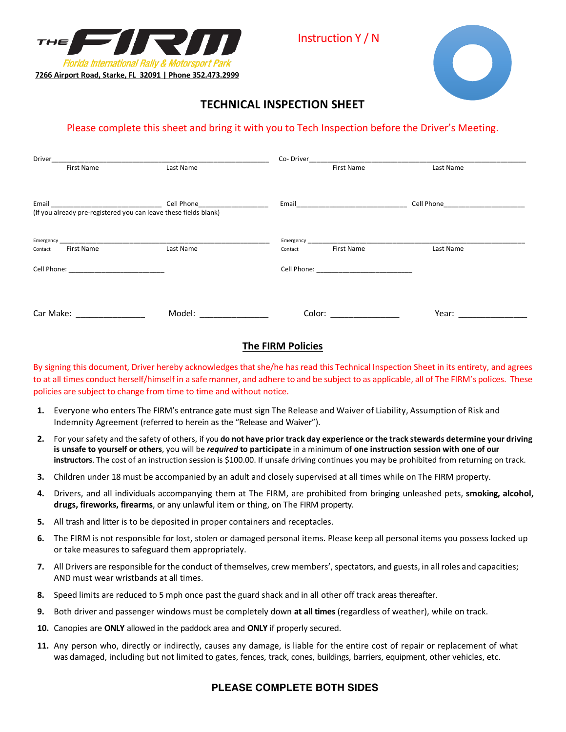



# **TECHNICAL INSPECTION SHEET**

## Please complete this sheet and bring it with you to Tech Inspection before the Driver's Meeting.

| Driver                                                                                                         | Co-Driver                          |                               |                   |           |  |
|----------------------------------------------------------------------------------------------------------------|------------------------------------|-------------------------------|-------------------|-----------|--|
| <b>First Name</b>                                                                                              | Last Name                          |                               | <b>First Name</b> | Last Name |  |
| (If you already pre-registered you can leave these fields blank)                                               | Cell Phone________________________ |                               |                   |           |  |
| <b>First Name</b><br>Contact                                                                                   | Last Name                          | Contact                       | <b>First Name</b> | Last Name |  |
| Cell Phone: The Committee of the Committee of the Committee of the Committee of the Committee of the Committee |                                    | Cell Phone: <u>Cell Phone</u> |                   |           |  |
|                                                                                                                |                                    |                               |                   |           |  |
| Car Make:                                                                                                      | Model:                             | Color:                        |                   | Year:     |  |

#### **The FIRM Policies**

By signing this document, Driver hereby acknowledges that she/he has read this Technical Inspection Sheet in its entirety, and agrees to at all times conduct herself/himself in a safe manner, and adhere to and be subject to as applicable, all of The FIRM's polices. These policies are subject to change from time to time and without notice.

- **1.** Everyone who enters The FIRM's entrance gate must sign The Release and Waiver of Liability, Assumption of Risk and Indemnity Agreement (referred to herein as the "Release and Waiver").
- 2. For your safety and the safety of others, if you do not have prior track day experience or the track stewards determine your driving is unsafe to yourself or others, you will be required to participate in a minimum of one instruction session with one of our **instructors**. The cost of an instruction session is \$100.00. If unsafe driving continues you may be prohibited from returning on track.
- **3.** Children under 18 must be accompanied by an adult and closely supervised at all times while on The FIRM property.
- **4.** Drivers, and all individuals accompanying them at The FIRM, are prohibited from bringing unleashed pets, **smoking, alcohol, drugs, fireworks, firearms**, or any unlawful item or thing, on The FIRM property.
- **5.** All trash and litter is to be deposited in proper containers and receptacles.
- **6.** The FIRM is not responsible for lost, stolen or damaged personal items. Please keep all personal items you possess locked up or take measures to safeguard them appropriately.
- **7.** All Drivers are responsible for the conduct of themselves, crew members', spectators, and guests, in all roles and capacities; AND must wear wristbands at all times.
- **8.** Speed limits are reduced to 5 mph once past the guard shack and in all other off track areas thereafter.
- **9.** Both driver and passenger windows must be completely down **at all times** (regardless of weather), while on track.
- **10.** Canopies are **ONLY** allowed in the paddock area and **ONLY** if properly secured.
- **11.** Any person who, directly or indirectly, causes any damage, is liable for the entire cost of repair or replacement of what was damaged, including but not limited to gates, fences, track, cones, buildings, barriers, equipment, other vehicles, etc.

### **PLEASE COMPLETE BOTH SIDES**